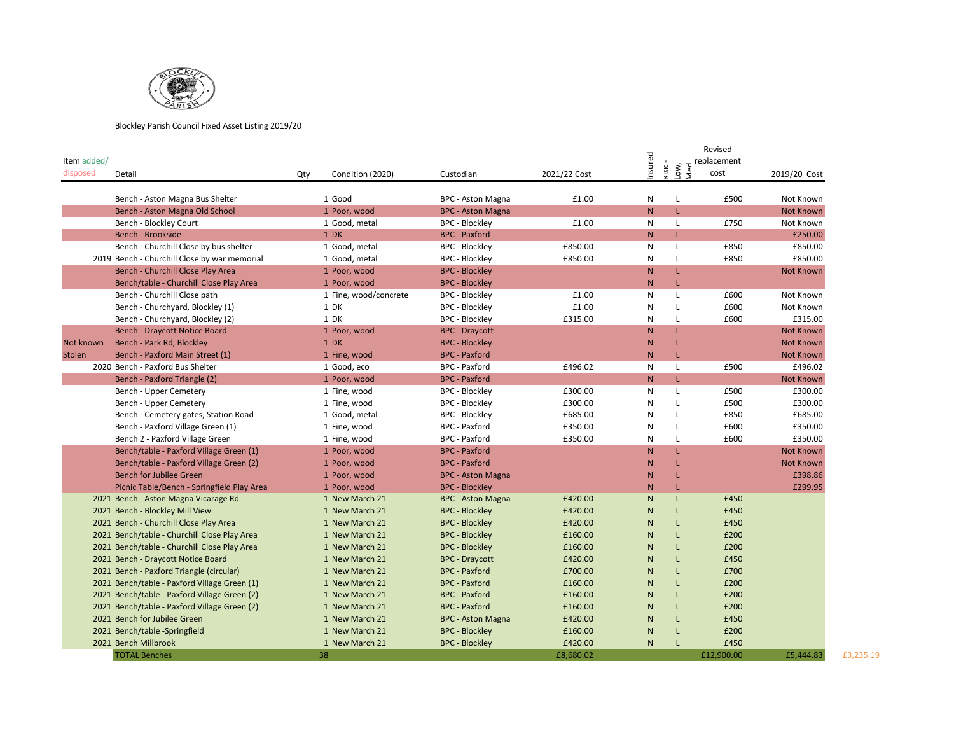

## Blockley Parish Council Fixed Asset Listing 2019/20

|               |                                              |     |                       |                          |              | Ъ            |                     | Revised     |                  |
|---------------|----------------------------------------------|-----|-----------------------|--------------------------|--------------|--------------|---------------------|-------------|------------------|
| Item added/   |                                              |     |                       |                          |              |              |                     | replacement |                  |
| disposed      | Detail                                       | Qty | Condition (2020)      | Custodian                | 2021/22 Cost | nsur         | .ow,<br><b>KISK</b> | cost        | 2019/20 Cost     |
|               |                                              |     |                       |                          |              |              |                     |             |                  |
|               | Bench - Aston Magna Bus Shelter              |     | 1 Good                | <b>BPC - Aston Magna</b> | £1.00        | N            | L                   | £500        | Not Known        |
|               | Bench - Aston Magna Old School               |     | 1 Poor, wood          | <b>BPC - Aston Magna</b> |              | N            | L.                  |             | Not Known        |
|               | Bench - Blockley Court                       |     | 1 Good, metal         | <b>BPC - Blockley</b>    | £1.00        | N            | L                   | £750        | Not Known        |
|               | Bench - Brookside                            |     | 1 DK                  | <b>BPC - Paxford</b>     |              | N            | L                   |             | £250.00          |
|               | Bench - Churchill Close by bus shelter       |     | 1 Good, metal         | <b>BPC - Blockley</b>    | £850.00      | $\mathsf{N}$ | L                   | £850        | £850.00          |
|               | 2019 Bench - Churchill Close by war memorial |     | 1 Good, metal         | <b>BPC - Blockley</b>    | £850.00      | N            | L                   | £850        | £850.00          |
|               | Bench - Churchill Close Play Area            |     | 1 Poor, wood          | <b>BPC - Blockley</b>    |              | N            | L                   |             | <b>Not Known</b> |
|               | Bench/table - Churchill Close Play Area      |     | 1 Poor, wood          | <b>BPC - Blockley</b>    |              | N            | L                   |             |                  |
|               | Bench - Churchill Close path                 |     | 1 Fine, wood/concrete | <b>BPC - Blockley</b>    | £1.00        | $\mathsf{N}$ | L                   | £600        | Not Known        |
|               | Bench - Churchyard, Blockley (1)             |     | 1 DK                  | <b>BPC - Blockley</b>    | £1.00        | N            | L                   | £600        | Not Known        |
|               | Bench - Churchyard, Blockley (2)             |     | 1 DK                  | <b>BPC - Blockley</b>    | £315.00      | N            | L                   | £600        | £315.00          |
|               | <b>Bench - Draycott Notice Board</b>         |     | 1 Poor, wood          | <b>BPC - Draycott</b>    |              | N            | L.                  |             | <b>Not Known</b> |
| Not known     | Bench - Park Rd, Blockley                    |     | 1 DK                  | <b>BPC - Blockley</b>    |              | $\mathsf{N}$ | L                   |             | <b>Not Known</b> |
| <b>Stolen</b> | Bench - Paxford Main Street (1)              |     | 1 Fine, wood          | <b>BPC - Paxford</b>     |              | N            | L                   |             | <b>Not Known</b> |
|               | 2020 Bench - Paxford Bus Shelter             |     | 1 Good, eco           | <b>BPC - Paxford</b>     | £496.02      | N            | L                   | £500        | £496.02          |
|               | Bench - Paxford Triangle (2)                 |     | 1 Poor, wood          | <b>BPC</b> - Paxford     |              | N            | L.                  |             | Not Known        |
|               | Bench - Upper Cemetery                       |     | 1 Fine, wood          | <b>BPC - Blockley</b>    | £300.00      | N            | L                   | £500        | £300.00          |
|               | Bench - Upper Cemetery                       |     | 1 Fine, wood          | <b>BPC - Blockley</b>    | £300.00      | N            | L                   | £500        | £300.00          |
|               | Bench - Cemetery gates, Station Road         |     | 1 Good, metal         | <b>BPC - Blockley</b>    | £685.00      | N            | $\mathbf{I}$        | £850        | £685.00          |
|               | Bench - Paxford Village Green (1)            |     | 1 Fine, wood          | <b>BPC - Paxford</b>     | £350.00      | N            | L                   | £600        | £350.00          |
|               | Bench 2 - Paxford Village Green              |     | 1 Fine, wood          | <b>BPC</b> - Paxford     | £350.00      | N            | L                   | £600        | £350.00          |
|               | Bench/table - Paxford Village Green (1)      |     | 1 Poor, wood          | <b>BPC - Paxford</b>     |              | N            | L.                  |             | <b>Not Known</b> |
|               | Bench/table - Paxford Village Green (2)      |     | 1 Poor, wood          | <b>BPC</b> - Paxford     |              | $\mathsf{N}$ | L                   |             | <b>Not Known</b> |
|               | <b>Bench for Jubilee Green</b>               |     | 1 Poor, wood          | <b>BPC - Aston Magna</b> |              | N            | L                   |             | £398.86          |
|               | Picnic Table/Bench - Springfield Play Area   |     | 1 Poor, wood          | <b>BPC - Blockley</b>    |              | N            | L                   |             | £299.95          |
|               | 2021 Bench - Aston Magna Vicarage Rd         |     | 1 New March 21        | <b>BPC - Aston Magna</b> | £420.00      | N            | L                   | £450        |                  |
|               | 2021 Bench - Blockley Mill View              |     | 1 New March 21        | <b>BPC - Blockley</b>    | £420.00      | $\mathsf{N}$ | L                   | £450        |                  |
|               | 2021 Bench - Churchill Close Play Area       |     | 1 New March 21        | <b>BPC - Blockley</b>    | £420.00      | N            | L                   | £450        |                  |
|               | 2021 Bench/table - Churchill Close Play Area |     | 1 New March 21        | <b>BPC - Blockley</b>    | £160.00      | N            | L                   | £200        |                  |
|               | 2021 Bench/table - Churchill Close Play Area |     | 1 New March 21        | <b>BPC - Blockley</b>    | £160.00      | N            | L                   | £200        |                  |
|               | 2021 Bench - Draycott Notice Board           |     | 1 New March 21        | <b>BPC - Draycott</b>    | £420.00      | $\mathsf{N}$ | L                   | £450        |                  |
|               | 2021 Bench - Paxford Triangle (circular)     |     | 1 New March 21        | <b>BPC - Paxford</b>     | £700.00      | N            | L                   | £700        |                  |
|               | 2021 Bench/table - Paxford Village Green (1) |     | 1 New March 21        | <b>BPC - Paxford</b>     | £160.00      | N            | L                   | £200        |                  |
|               | 2021 Bench/table - Paxford Village Green (2) |     | 1 New March 21        | <b>BPC</b> - Paxford     | £160.00      | N            | L                   | £200        |                  |
|               | 2021 Bench/table - Paxford Village Green (2) |     | 1 New March 21        | <b>BPC - Paxford</b>     | £160.00      | N            | L                   | £200        |                  |
|               | 2021 Bench for Jubilee Green                 |     | 1 New March 21        | <b>BPC - Aston Magna</b> | £420.00      | $\mathsf{N}$ | L                   | £450        |                  |
|               | 2021 Bench/table -Springfield                |     | 1 New March 21        | <b>BPC - Blockley</b>    | £160.00      | N            | L                   | £200        |                  |
|               | 2021 Bench Millbrook                         |     | 1 New March 21        | <b>BPC - Blockley</b>    | £420.00      | N            | $\mathbf{I}$        | £450        |                  |
|               | <b>TOTAL Benches</b>                         |     | 38                    |                          | £8,680.02    |              |                     | £12,900.00  | £5,444.83        |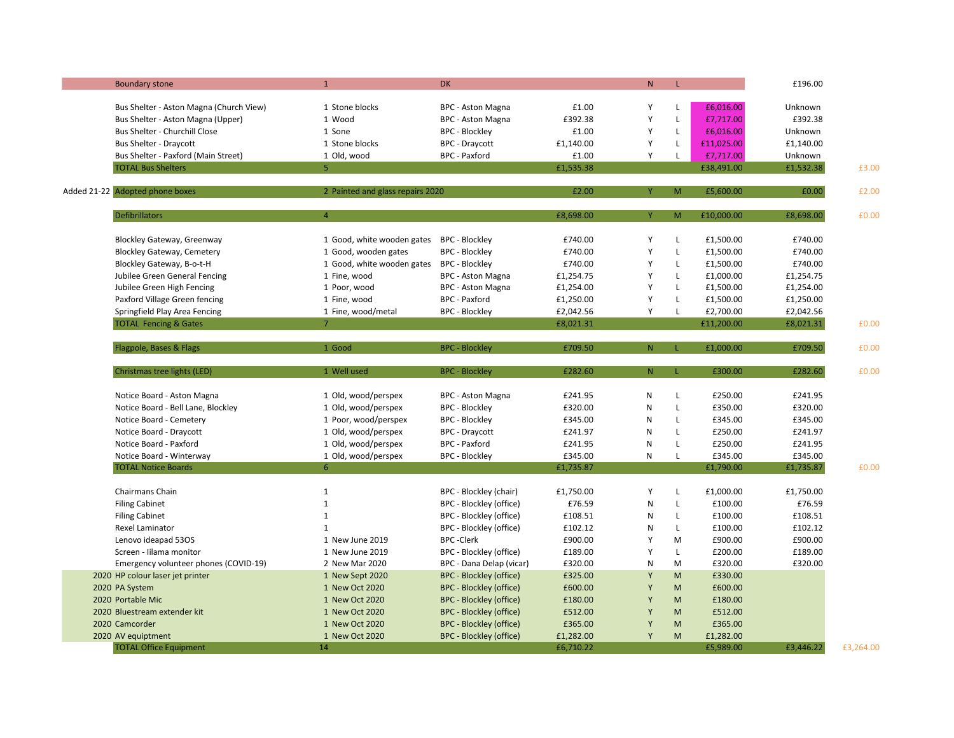| <b>Boundary stone</b>                                                        | $\mathbf{1}$                     | <b>DK</b>                                     |           | N.           | L                 |                        | £196.00   |       |
|------------------------------------------------------------------------------|----------------------------------|-----------------------------------------------|-----------|--------------|-------------------|------------------------|-----------|-------|
|                                                                              | 1 Stone blocks                   |                                               | £1.00     | Υ            |                   |                        | Unknown   |       |
| Bus Shelter - Aston Magna (Church View)<br>Bus Shelter - Aston Magna (Upper) | 1 Wood                           | BPC - Aston Magna<br><b>BPC - Aston Magna</b> | £392.38   | Y            | L<br>$\mathsf{L}$ | £6,016.00<br>£7,717.00 | £392.38   |       |
| Bus Shelter - Churchill Close                                                | 1 Sone                           | <b>BPC - Blockley</b>                         | £1.00     | Y            | $\mathsf{L}$      | £6,016.00              | Unknown   |       |
|                                                                              | 1 Stone blocks                   |                                               |           | Y            | L                 |                        |           |       |
| <b>Bus Shelter - Draycott</b>                                                |                                  | <b>BPC - Draycott</b>                         | £1,140.00 | Υ            |                   | £11,025.00             | £1,140.00 |       |
| Bus Shelter - Paxford (Main Street)                                          | 1 Old, wood<br>5 <sup>1</sup>    | <b>BPC</b> - Paxford                          | £1.00     |              | L                 | £7,717.00              | Unknown   |       |
| <b>TOTAL Bus Shelters</b>                                                    |                                  |                                               | £1,535.38 |              |                   | £38,491.00             | £1,532.38 | £3.00 |
| Added 21-22 Adopted phone boxes                                              | 2 Painted and glass repairs 2020 |                                               | £2.00     |              | M                 | £5,600.00              | £0.00     | £2.00 |
|                                                                              |                                  |                                               |           |              |                   |                        |           |       |
| <b>Defibrillators</b>                                                        | $\overline{4}$                   |                                               | £8,698.00 | Ÿ            | M                 | £10,000.00             | £8,698.00 | £0.00 |
| <b>Blockley Gateway, Greenway</b>                                            | 1 Good, white wooden gates       | <b>BPC - Blockley</b>                         | £740.00   | Y            | L                 | £1,500.00              | £740.00   |       |
| <b>Blockley Gateway, Cemetery</b>                                            | 1 Good, wooden gates             | <b>BPC - Blockley</b>                         | £740.00   | Y            | $\mathsf{L}$      | £1,500.00              | £740.00   |       |
| Blockley Gateway, B-o-t-H                                                    | 1 Good, white wooden gates       | <b>BPC - Blockley</b>                         | £740.00   | Y            | $\mathsf{L}$      | £1,500.00              | £740.00   |       |
| Jubilee Green General Fencing                                                | 1 Fine, wood                     | <b>BPC - Aston Magna</b>                      | £1,254.75 | Y            | L                 | £1,000.00              | £1,254.75 |       |
| Jubilee Green High Fencing                                                   | 1 Poor, wood                     | <b>BPC - Aston Magna</b>                      | £1,254.00 | Y            | L                 | £1,500.00              | £1,254.00 |       |
| Paxford Village Green fencing                                                | 1 Fine, wood                     | <b>BPC</b> - Paxford                          | £1,250.00 | Y            | $\mathsf{L}$      | £1,500.00              | £1,250.00 |       |
| Springfield Play Area Fencing                                                | 1 Fine, wood/metal               | <b>BPC - Blockley</b>                         | £2,042.56 | Y            | L                 | £2,700.00              | £2,042.56 |       |
| <b>TOTAL Fencing &amp; Gates</b>                                             | 7 <sup>1</sup>                   |                                               | £8,021.31 |              |                   | £11,200.00             | £8,021.31 | £0.00 |
|                                                                              |                                  |                                               |           |              |                   |                        |           |       |
| Flagpole, Bases & Flags                                                      | 1 Good                           | <b>BPC - Blockley</b>                         | £709.50   | N.           | L.                | £1,000.00              | £709.50   | £0.00 |
| Christmas tree lights (LED)                                                  | 1 Well used                      | <b>BPC - Blockley</b>                         | £282.60   | N.           | L                 | £300.00                | £282.60   | £0.00 |
| Notice Board - Aston Magna                                                   | 1 Old, wood/perspex              | <b>BPC - Aston Magna</b>                      | £241.95   | $\mathsf{N}$ | L                 | £250.00                | £241.95   |       |
| Notice Board - Bell Lane, Blockley                                           | 1 Old, wood/perspex              | BPC - Blockley                                | £320.00   | $\mathsf{N}$ | $\mathsf{L}$      | £350.00                | £320.00   |       |
| Notice Board - Cemetery                                                      | 1 Poor, wood/perspex             | <b>BPC - Blockley</b>                         | £345.00   | ${\sf N}$    | L                 | £345.00                | £345.00   |       |
| Notice Board - Draycott                                                      | 1 Old, wood/perspex              | <b>BPC - Draycott</b>                         | £241.97   | $\mathsf{N}$ | $\mathsf{L}$      | £250.00                | £241.97   |       |
| Notice Board - Paxford                                                       | 1 Old, wood/perspex              | <b>BPC</b> - Paxford                          | £241.95   | ${\sf N}$    | $\mathsf{L}$      | £250.00                | £241.95   |       |
| Notice Board - Winterway                                                     | 1 Old, wood/perspex              | <b>BPC - Blockley</b>                         | £345.00   | N            | L                 | £345.00                | £345.00   |       |
| <b>TOTAL Notice Boards</b>                                                   | 6 <sup>1</sup>                   |                                               | £1,735.87 |              |                   | £1,790.00              | £1,735.87 | £0.00 |
|                                                                              |                                  |                                               |           |              |                   |                        |           |       |
| Chairmans Chain                                                              | $\mathbf{1}$                     | BPC - Blockley (chair)                        | £1,750.00 | Y            | L                 | £1,000.00              | £1,750.00 |       |
| <b>Filing Cabinet</b>                                                        | $\mathbf{1}$                     | BPC - Blockley (office)                       | £76.59    | $\mathsf{N}$ | $\mathsf{L}$      | £100.00                | £76.59    |       |
| <b>Filing Cabinet</b>                                                        | $\mathbf{1}$                     | BPC - Blockley (office)                       | £108.51   | ${\sf N}$    | L                 | £100.00                | £108.51   |       |
| Rexel Laminator                                                              | $\mathbf{1}$                     | BPC - Blockley (office)                       | £102.12   | N            | $\mathsf{L}$      | £100.00                | £102.12   |       |
| Lenovo ideapad 530S                                                          | 1 New June 2019                  | <b>BPC</b> - Clerk                            | £900.00   | Y            | M                 | £900.00                | £900.00   |       |
| Screen - Iilama monitor                                                      | 1 New June 2019                  | BPC - Blockley (office)                       | £189.00   | Y            | $\mathsf{L}$      | £200.00                | £189.00   |       |
| Emergency volunteer phones (COVID-19)                                        | 2 New Mar 2020                   | BPC - Dana Delap (vicar)                      | £320.00   | $\mathsf{N}$ | M                 | £320.00                | £320.00   |       |
| 2020 HP colour laser jet printer                                             | 1 New Sept 2020                  | <b>BPC - Blockley (office)</b>                | £325.00   | Y            | M                 | £330.00                |           |       |
| 2020 PA System                                                               | 1 New Oct 2020                   | BPC - Blockley (office)                       | £600.00   | Y            | M                 | £600.00                |           |       |
| 2020 Portable Mic                                                            | 1 New Oct 2020                   | <b>BPC - Blockley (office)</b>                | £180.00   | Y            | M                 | £180.00                |           |       |
| 2020 Bluestream extender kit                                                 | 1 New Oct 2020                   | <b>BPC - Blockley (office)</b>                | £512.00   | Y            | M                 | £512.00                |           |       |
| 2020 Camcorder                                                               | 1 New Oct 2020                   | <b>BPC - Blockley (office)</b>                | £365.00   | Y            | M                 | £365.00                |           |       |
|                                                                              |                                  |                                               |           | Y            | M                 | £1,282.00              |           |       |
| 2020 AV equiptment                                                           | 1 New Oct 2020                   | <b>BPC - Blockley (office)</b>                | £1,282.00 |              |                   |                        |           |       |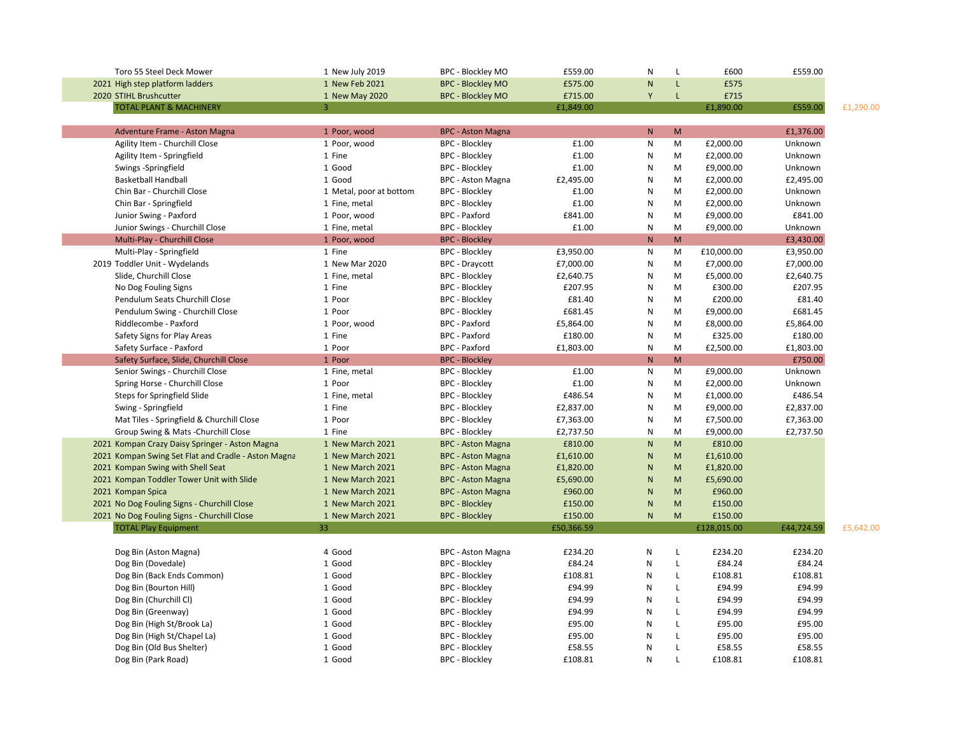| Toro 55 Steel Deck Mower                            | 1 New July 2019         | <b>BPC - Blockley MO</b> | £559.00    | N            | L            | £600        | £559.00    |           |
|-----------------------------------------------------|-------------------------|--------------------------|------------|--------------|--------------|-------------|------------|-----------|
| 2021 High step platform ladders                     | 1 New Feb 2021          | <b>BPC - Blockley MO</b> | £575.00    | $\mathsf{N}$ | L            | £575        |            |           |
| 2020 STIHL Brushcutter                              | 1 New May 2020          | <b>BPC - Blockley MO</b> | £715.00    | Y            | $\mathsf{L}$ | £715        |            |           |
| <b>TOTAL PLANT &amp; MACHINERY</b>                  | 3                       |                          | £1,849.00  |              |              | £1,890.00   | £559.00    | £1,290.00 |
|                                                     |                         |                          |            |              |              |             |            |           |
| Adventure Frame - Aston Magna                       | 1 Poor, wood            | <b>BPC - Aston Magna</b> |            | N            | M            |             | £1,376.00  |           |
| Agility Item - Churchill Close                      | 1 Poor, wood            | <b>BPC - Blockley</b>    | £1.00      | ${\sf N}$    | M            | £2,000.00   | Unknown    |           |
| Agility Item - Springfield                          | 1 Fine                  | <b>BPC - Blockley</b>    | £1.00      | ${\sf N}$    | M            | £2,000.00   | Unknown    |           |
| Swings -Springfield                                 | 1 Good                  | <b>BPC - Blockley</b>    | £1.00      | ${\sf N}$    | M            | £9,000.00   | Unknown    |           |
| <b>Basketball Handball</b>                          | 1 Good                  | <b>BPC - Aston Magna</b> | £2,495.00  | N            | M            | £2,000.00   | £2,495.00  |           |
| Chin Bar - Churchill Close                          | 1 Metal, poor at bottom | <b>BPC - Blockley</b>    | £1.00      | $\mathsf{N}$ | M            | £2,000.00   | Unknown    |           |
| Chin Bar - Springfield                              | 1 Fine, metal           | <b>BPC - Blockley</b>    | £1.00      | N            | M            | £2,000.00   | Unknown    |           |
| Junior Swing - Paxford                              | 1 Poor, wood            | <b>BPC</b> - Paxford     | £841.00    | $\mathsf{N}$ | M            | £9,000.00   | £841.00    |           |
| Junior Swings - Churchill Close                     | 1 Fine, metal           | <b>BPC - Blockley</b>    | £1.00      | N            | M            | £9,000.00   | Unknown    |           |
| Multi-Play - Churchill Close                        | 1 Poor, wood            | <b>BPC - Blockley</b>    |            | $\mathsf{N}$ | M            |             | £3,430.00  |           |
| Multi-Play - Springfield                            | 1 Fine                  | <b>BPC - Blockley</b>    | £3,950.00  | N            | M            | £10,000.00  | £3,950.00  |           |
| 2019 Toddler Unit - Wydelands                       | 1 New Mar 2020          | <b>BPC</b> - Draycott    | £7,000.00  | ${\sf N}$    | M            | £7,000.00   | £7,000.00  |           |
| Slide, Churchill Close                              | 1 Fine, metal           | <b>BPC - Blockley</b>    | £2,640.75  | ${\sf N}$    | M            | £5,000.00   | £2,640.75  |           |
| No Dog Fouling Signs                                | 1 Fine                  | <b>BPC - Blockley</b>    | £207.95    | $\mathsf{N}$ | M            | £300.00     | £207.95    |           |
| Pendulum Seats Churchill Close                      | 1 Poor                  | <b>BPC - Blockley</b>    | £81.40     | $\mathsf{N}$ | M            | £200.00     | £81.40     |           |
| Pendulum Swing - Churchill Close                    | 1 Poor                  | <b>BPC - Blockley</b>    | £681.45    | ${\sf N}$    | M            | £9,000.00   | £681.45    |           |
| Riddlecombe - Paxford                               | 1 Poor, wood            | BPC - Paxford            | £5,864.00  | $\mathsf{N}$ | M            | £8,000.00   | £5,864.00  |           |
| Safety Signs for Play Areas                         | 1 Fine                  | BPC - Paxford            | £180.00    | N            | M            | £325.00     | £180.00    |           |
| Safety Surface - Paxford                            | 1 Poor                  | BPC - Paxford            | £1,803.00  | $\mathsf{N}$ | M            | £2,500.00   | £1,803.00  |           |
| Safety Surface, Slide, Churchill Close              | 1 Poor                  | <b>BPC - Blockley</b>    |            | $\mathsf{N}$ | M            |             | £750.00    |           |
| Senior Swings - Churchill Close                     | 1 Fine, metal           | <b>BPC - Blockley</b>    | £1.00      | N            | M            | £9,000.00   | Unknown    |           |
| Spring Horse - Churchill Close                      | 1 Poor                  | <b>BPC - Blockley</b>    | £1.00      | ${\sf N}$    | M            | £2,000.00   | Unknown    |           |
| Steps for Springfield Slide                         | 1 Fine, metal           | <b>BPC - Blockley</b>    | £486.54    | N            | M            | £1,000.00   | £486.54    |           |
| Swing - Springfield                                 | 1 Fine                  | <b>BPC - Blockley</b>    | £2,837.00  | ${\sf N}$    | M            | £9,000.00   | £2,837.00  |           |
| Mat Tiles - Springfield & Churchill Close           | 1 Poor                  | <b>BPC - Blockley</b>    | £7,363.00  | N            | M            | £7,500.00   | £7,363.00  |           |
| Group Swing & Mats - Churchill Close                | 1 Fine                  | <b>BPC - Blockley</b>    | £2,737.50  | N            | M            | £9,000.00   | £2,737.50  |           |
| 2021 Kompan Crazy Daisy Springer - Aston Magna      | 1 New March 2021        | <b>BPC - Aston Magna</b> | £810.00    | $\mathsf{N}$ | M            | £810.00     |            |           |
| 2021 Kompan Swing Set Flat and Cradle - Aston Magna | 1 New March 2021        | <b>BPC - Aston Magna</b> | £1,610.00  | $\mathsf{N}$ | M            | £1,610.00   |            |           |
| 2021 Kompan Swing with Shell Seat                   | 1 New March 2021        | <b>BPC - Aston Magna</b> | £1,820.00  | N            | M            | £1,820.00   |            |           |
| 2021 Kompan Toddler Tower Unit with Slide           | 1 New March 2021        | <b>BPC - Aston Magna</b> | £5,690.00  | N            | M            | £5,690.00   |            |           |
| 2021 Kompan Spica                                   | 1 New March 2021        | <b>BPC - Aston Magna</b> | £960.00    | N            | M            | £960.00     |            |           |
| 2021 No Dog Fouling Signs - Churchill Close         | 1 New March 2021        | <b>BPC - Blockley</b>    | £150.00    | $\mathsf{N}$ | M            | £150.00     |            |           |
| 2021 No Dog Fouling Signs - Churchill Close         | 1 New March 2021        | <b>BPC - Blockley</b>    | £150.00    | $\mathsf{N}$ | M            | £150.00     |            |           |
| <b>TOTAL Play Equipment</b>                         | 33                      |                          | £50,366.59 |              |              | £128,015.00 | £44,724.59 | £5,642.00 |
|                                                     |                         |                          |            |              |              |             |            |           |
| Dog Bin (Aston Magna)                               | 4 Good                  | BPC - Aston Magna        | £234.20    | ${\sf N}$    | $\mathsf L$  | £234.20     | £234.20    |           |
| Dog Bin (Dovedale)                                  | 1 Good                  | <b>BPC - Blockley</b>    | £84.24     | ${\sf N}$    | L            | £84.24      | £84.24     |           |
| Dog Bin (Back Ends Common)                          | 1 Good                  | <b>BPC - Blockley</b>    | £108.81    | ${\sf N}$    | L            | £108.81     | £108.81    |           |
| Dog Bin (Bourton Hill)                              | 1 Good                  | <b>BPC - Blockley</b>    | £94.99     | ${\sf N}$    | L            | £94.99      | £94.99     |           |
| Dog Bin (Churchill Cl)                              | 1 Good                  | <b>BPC - Blockley</b>    | £94.99     | ${\sf N}$    | L            | £94.99      | £94.99     |           |
| Dog Bin (Greenway)                                  | 1 Good                  | <b>BPC - Blockley</b>    | £94.99     | N            | L            | £94.99      | £94.99     |           |
| Dog Bin (High St/Brook La)                          | 1 Good                  | <b>BPC - Blockley</b>    | £95.00     | N            | L            | £95.00      | £95.00     |           |
| Dog Bin (High St/Chapel La)                         | 1 Good                  | <b>BPC - Blockley</b>    | £95.00     | N            | L            | £95.00      | £95.00     |           |
| Dog Bin (Old Bus Shelter)                           | 1 Good                  | <b>BPC - Blockley</b>    | £58.55     | N            | L            | £58.55      | £58.55     |           |
| Dog Bin (Park Road)                                 | 1 Good                  | <b>BPC - Blockley</b>    | £108.81    | $\mathsf{N}$ | $\mathbf{I}$ | £108.81     | £108.81    |           |
|                                                     |                         |                          |            |              |              |             |            |           |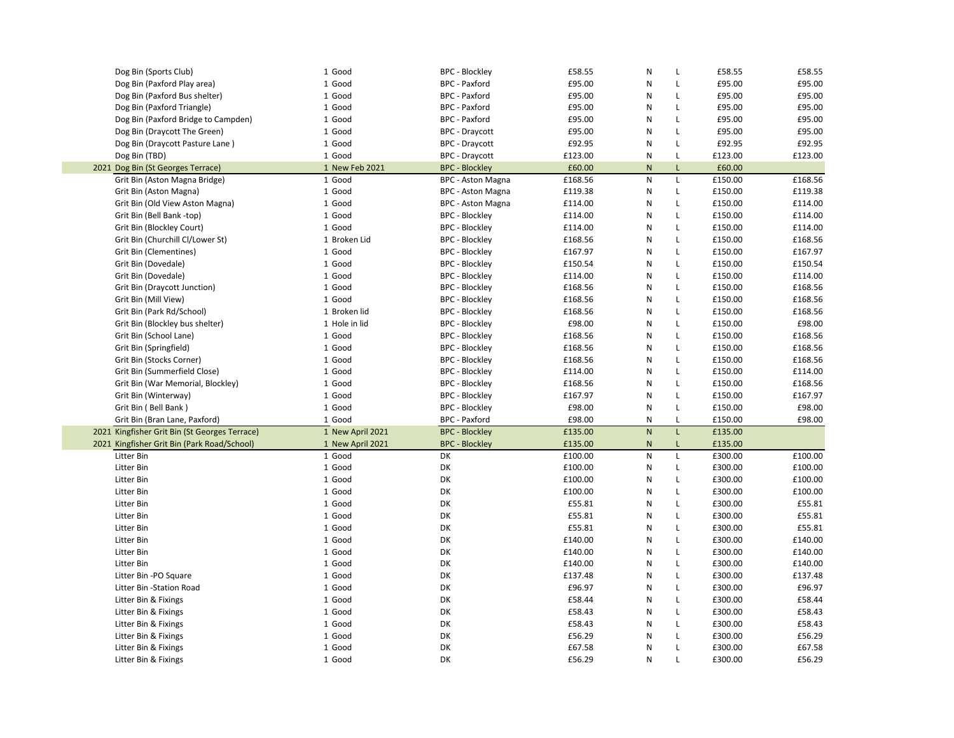| Dog Bin (Sports Club)                         | 1 Good           | <b>BPC - Blockley</b>    | £58.55  | N              | L<br>£58.55             | £58.55  |
|-----------------------------------------------|------------------|--------------------------|---------|----------------|-------------------------|---------|
| Dog Bin (Paxford Play area)                   | 1 Good           | <b>BPC</b> - Paxford     | £95.00  | N              | L<br>£95.00             | £95.00  |
| Dog Bin (Paxford Bus shelter)                 | 1 Good           | <b>BPC</b> - Paxford     | £95.00  | N              | £95.00<br>L             | £95.00  |
| Dog Bin (Paxford Triangle)                    | 1 Good           | <b>BPC</b> - Paxford     | £95.00  | N              | £95.00<br>$\mathsf{L}$  | £95.00  |
| Dog Bin (Paxford Bridge to Campden)           | 1 Good           | <b>BPC</b> - Paxford     | £95.00  | N              | $\mathsf L$<br>£95.00   | £95.00  |
| Dog Bin (Draycott The Green)                  | 1 Good           | <b>BPC - Draycott</b>    | £95.00  | N              | £95.00<br>$\mathsf{L}$  | £95.00  |
| Dog Bin (Draycott Pasture Lane)               | 1 Good           | <b>BPC - Draycott</b>    | £92.95  | N              | L<br>£92.95             | £92.95  |
| Dog Bin (TBD)                                 | 1 Good           | <b>BPC</b> - Draycott    | £123.00 | N              | $\mathsf L$<br>£123.00  | £123.00 |
| 2021 Dog Bin (St Georges Terrace)             | 1 New Feb 2021   | <b>BPC - Blockley</b>    | £60.00  | $\mathsf{N}$   | L<br>£60.00             |         |
| Grit Bin (Aston Magna Bridge)                 | 1 Good           | <b>BPC - Aston Magna</b> | £168.56 | N              | $\mathsf{L}$<br>£150.00 | £168.56 |
| Grit Bin (Aston Magna)                        | 1 Good           | <b>BPC - Aston Magna</b> | £119.38 | N              | $\mathsf{L}$<br>£150.00 | £119.38 |
| Grit Bin (Old View Aston Magna)               | 1 Good           | <b>BPC - Aston Magna</b> | £114.00 | N              | $\mathsf L$<br>£150.00  | £114.00 |
| Grit Bin (Bell Bank -top)                     | 1 Good           | <b>BPC - Blockley</b>    | £114.00 | N              | $\mathsf L$<br>£150.00  | £114.00 |
| Grit Bin (Blockley Court)                     | 1 Good           | <b>BPC - Blockley</b>    | £114.00 | N              | $\mathsf{L}$<br>£150.00 | £114.00 |
| Grit Bin (Churchill Cl/Lower St)              | 1 Broken Lid     | <b>BPC - Blockley</b>    | £168.56 | N              | $\mathsf L$<br>£150.00  | £168.56 |
| Grit Bin (Clementines)                        | 1 Good           | <b>BPC - Blockley</b>    | £167.97 | N              | $\mathsf{L}$<br>£150.00 | £167.97 |
| Grit Bin (Dovedale)                           | 1 Good           | <b>BPC - Blockley</b>    | £150.54 | N              | $\mathsf L$<br>£150.00  | £150.54 |
| Grit Bin (Dovedale)                           | 1 Good           | <b>BPC - Blockley</b>    | £114.00 | N              | $\mathsf{L}$<br>£150.00 | £114.00 |
| Grit Bin (Draycott Junction)                  | 1 Good           | <b>BPC - Blockley</b>    | £168.56 | N              | $\mathsf{L}$<br>£150.00 | £168.56 |
| Grit Bin (Mill View)                          | 1 Good           | <b>BPC - Blockley</b>    | £168.56 | N              | $\mathsf L$<br>£150.00  | £168.56 |
| Grit Bin (Park Rd/School)                     | 1 Broken lid     | <b>BPC - Blockley</b>    | £168.56 | N              | $\mathsf{L}$<br>£150.00 | £168.56 |
| Grit Bin (Blockley bus shelter)               | 1 Hole in lid    | <b>BPC - Blockley</b>    | £98.00  | N              | $\mathsf L$<br>£150.00  | £98.00  |
| Grit Bin (School Lane)                        | 1 Good           | <b>BPC - Blockley</b>    | £168.56 | N              | $\mathsf L$<br>£150.00  | £168.56 |
| Grit Bin (Springfield)                        | 1 Good           | <b>BPC - Blockley</b>    | £168.56 | N              | L<br>£150.00            | £168.56 |
| Grit Bin (Stocks Corner)                      | 1 Good           | <b>BPC - Blockley</b>    | £168.56 | N              | $\mathsf L$<br>£150.00  | £168.56 |
| Grit Bin (Summerfield Close)                  | 1 Good           | <b>BPC - Blockley</b>    | £114.00 | N              | $\mathsf{L}$<br>£150.00 | £114.00 |
| Grit Bin (War Memorial, Blockley)             | 1 Good           | <b>BPC - Blockley</b>    | £168.56 | N              | $\mathsf L$<br>£150.00  | £168.56 |
| Grit Bin (Winterway)                          | 1 Good           | <b>BPC - Blockley</b>    | £167.97 | N              | $\mathsf{L}$<br>£150.00 | £167.97 |
| Grit Bin (Bell Bank)                          | 1 Good           | <b>BPC - Blockley</b>    | £98.00  | N              | $\mathsf{L}$<br>£150.00 | £98.00  |
| Grit Bin (Bran Lane, Paxford)                 | 1 Good           | <b>BPC</b> - Paxford     | £98.00  | N              | £150.00<br>L            | £98.00  |
| 2021 Kingfisher Grit Bin (St Georges Terrace) | 1 New April 2021 | <b>BPC - Blockley</b>    | £135.00 | N <sub>1</sub> | L.<br>£135.00           |         |
| 2021 Kingfisher Grit Bin (Park Road/School)   | 1 New April 2021 | <b>BPC - Blockley</b>    | £135.00 | $\mathsf{N}$   | £135.00<br>L            |         |
| Litter Bin                                    | 1 Good           | DK                       | £100.00 | N              | $\mathsf L$<br>£300.00  | £100.00 |
| Litter Bin                                    | 1 Good           | DK                       | £100.00 | N              | $\mathsf{L}$<br>£300.00 | £100.00 |
| Litter Bin                                    | 1 Good           | DK                       | £100.00 | N              | £300.00<br>L            | £100.00 |
| Litter Bin                                    | 1 Good           | DK                       | £100.00 | N              | L<br>£300.00            | £100.00 |
| Litter Bin                                    | 1 Good           | DK                       | £55.81  | N              | £300.00<br>$\mathsf{L}$ | £55.81  |
| Litter Bin                                    | 1 Good           | DK                       | £55.81  | N              | £300.00<br>L            | £55.81  |
| Litter Bin                                    | 1 Good           | DK                       | £55.81  | N              | $\mathsf{L}$<br>£300.00 | £55.81  |
| Litter Bin                                    | 1 Good           | DK                       | £140.00 | N              | £300.00<br>$\mathsf{L}$ | £140.00 |
| Litter Bin                                    | 1 Good           | DK                       | £140.00 | N              | $\mathsf{L}$<br>£300.00 | £140.00 |
| Litter Bin                                    | 1 Good           | DK                       | £140.00 | N              | $\mathsf{L}$<br>£300.00 | £140.00 |
| Litter Bin -PO Square                         | 1 Good           | DK                       | £137.48 | N              | $\mathsf{L}$<br>£300.00 | £137.48 |
| Litter Bin -Station Road                      | 1 Good           | DK                       | £96.97  | N              | $\mathsf L$<br>£300.00  | £96.97  |
| Litter Bin & Fixings                          | 1 Good           | DK                       | £58.44  | N              | $\mathsf{L}$<br>£300.00 | £58.44  |
| Litter Bin & Fixings                          | 1 Good           | DK                       | £58.43  | N              | $\mathsf{L}$<br>£300.00 | £58.43  |
| Litter Bin & Fixings                          | 1 Good           | DK                       | £58.43  | N              | £300.00<br>$\mathsf{L}$ | £58.43  |
| Litter Bin & Fixings                          | 1 Good           | DK                       | £56.29  | N              | £300.00<br>$\mathsf{L}$ | £56.29  |
| Litter Bin & Fixings                          | 1 Good           | DK                       | £67.58  | N              | $\mathsf{L}$<br>£300.00 | £67.58  |
| Litter Bin & Fixings                          | 1 Good           | DK                       | £56.29  | N              | $\mathsf L$<br>£300.00  | £56.29  |
|                                               |                  |                          |         |                |                         |         |